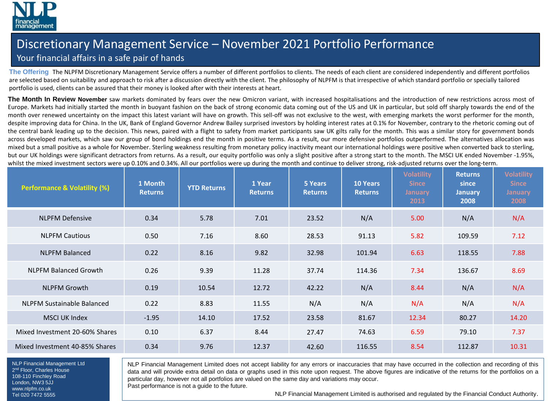

## Discretionary Management Service – November 2021 Portfolio Performance

## Your financial affairs in a safe pair of hands

**The Offering** The NLPFM Discretionary Management Service offers a number of different portfolios to clients. The needs of each client are considered independently and different portfolios are selected based on suitability and approach to risk after a discussion directly with the client. The philosophy of NLPFM is that irrespective of which standard portfolio or specially tailored portfolio is used, clients can be assured that their money is looked after with their interests at heart.

**The Month In Review November** saw markets dominated by fears over the new Omicron variant, with increased hospitalisations and the introduction of new restrictions across most of Europe. Markets had initially started the month in buoyant fashion on the back of strong economic data coming out of the US and UK in particular, but sold off sharply towards the end of the month over renewed uncertainty on the impact this latest variant will have on growth. This sell-off was not exclusive to the west, with emerging markets the worst performer for the month, despite improving data for China. In the UK, Bank of England Governor Andrew Bailey surprised investors by holding interest rates at 0.1% for November, contrary to the rhetoric coming out of the central bank leading up to the decision. This news, paired with a flight to safety from market participants saw UK gilts rally for the month. This was a similar story for government bonds across developed markets, which saw our group of bond holdings end the month in positive terms. As a result, our more defensive portfolios outperformed. The alternatives allocation was mixed but a small positive as a whole for November. Sterling weakness resulting from monetary policy inactivity meant our international holdings were positive when converted back to sterling, but our UK holdings were significant detractors from returns. As a result, our equity portfolio was only a slight positive after a strong start to the month. The MSCI UK ended November -1.95%, whilst the mixed investment sectors were up 0.10% and 0.34%. All our portfolios were up during the month and continue to deliver strong, risk-adjusted returns over the long-term.

| <b>Performance &amp; Volatility (%)</b> | 1 Month<br><b>Returns</b> | <b>YTD Returns</b> | 1 Year<br><b>Returns</b> | 5 Years<br><b>Returns</b> | <b>10 Years</b><br><b>Returns</b> | <b>Volatility</b><br><b>Since</b><br><b>January</b><br>2013 | <b>Returns</b><br>since<br><b>January</b><br>2008 | <b>Volatility</b><br><b>Since</b><br><b>January</b><br>2008 |
|-----------------------------------------|---------------------------|--------------------|--------------------------|---------------------------|-----------------------------------|-------------------------------------------------------------|---------------------------------------------------|-------------------------------------------------------------|
| <b>NLPFM Defensive</b>                  | 0.34                      | 5.78               | 7.01                     | 23.52                     | N/A                               | 5.00                                                        | N/A                                               | N/A                                                         |
| <b>NLPFM Cautious</b>                   | 0.50                      | 7.16               | 8.60                     | 28.53                     | 91.13                             | 5.82                                                        | 109.59                                            | 7.12                                                        |
| <b>NLPFM Balanced</b>                   | 0.22                      | 8.16               | 9.82                     | 32.98                     | 101.94                            | 6.63                                                        | 118.55                                            | 7.88                                                        |
| <b>NLPFM Balanced Growth</b>            | 0.26                      | 9.39               | 11.28                    | 37.74                     | 114.36                            | 7.34                                                        | 136.67                                            | 8.69                                                        |
| <b>NLPFM Growth</b>                     | 0.19                      | 10.54              | 12.72                    | 42.22                     | N/A                               | 8.44                                                        | N/A                                               | N/A                                                         |
| <b>NLPFM Sustainable Balanced</b>       | 0.22                      | 8.83               | 11.55                    | N/A                       | N/A                               | N/A                                                         | N/A                                               | N/A                                                         |
| <b>MSCI UK Index</b>                    | $-1.95$                   | 14.10              | 17.52                    | 23.58                     | 81.67                             | 12.34                                                       | 80.27                                             | 14.20                                                       |
| Mixed Investment 20-60% Shares          | 0.10                      | 6.37               | 8.44                     | 27.47                     | 74.63                             | 6.59                                                        | 79.10                                             | 7.37                                                        |
| Mixed Investment 40-85% Shares          | 0.34                      | 9.76               | 12.37                    | 42.60                     | 116.55                            | 8.54                                                        | 112.87                                            | 10.31                                                       |

NLP Financial Management Ltd 2<sup>nd</sup> Floor, Charles House 108-110 Finchley Road London, NW3 5JJ www.nlpfm.co.uk Tel 020 7472 5555

NLP Financial Management Limited does not accept liability for any errors or inaccuracies that may have occurred in the collection and recording of this data and will provide extra detail on data or graphs used in this note upon request. The above figures are indicative of the returns for the portfolios on a particular day, however not all portfolios are valued on the same day and variations may occur.

Past performance is not a guide to the future.

NLP Financial Management Limited is authorised and regulated by the Financial Conduct Authority.